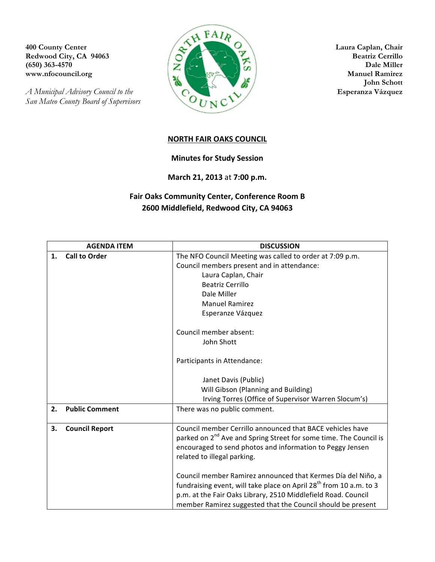*San Mateo County Board of Supervisors*



**John Schott**

## **NORTH FAIR OAKS COUNCIL**

## **Minutes for Study Session**

**March 21, 2013** at **7:00 p.m.**

## **Fair Oaks Community Center, Conference Room B 2600 Middlefield, Redwood City, CA 94063**

|    | <b>AGENDA ITEM</b>    | <b>DISCUSSION</b>                                                              |
|----|-----------------------|--------------------------------------------------------------------------------|
| 1. | <b>Call to Order</b>  | The NFO Council Meeting was called to order at 7:09 p.m.                       |
|    |                       | Council members present and in attendance:                                     |
|    |                       | Laura Caplan, Chair                                                            |
|    |                       | <b>Beatriz Cerrillo</b>                                                        |
|    |                       | Dale Miller                                                                    |
|    |                       | <b>Manuel Ramirez</b>                                                          |
|    |                       | Esperanze Vázquez                                                              |
|    |                       | Council member absent:                                                         |
|    |                       | John Shott                                                                     |
|    |                       | Participants in Attendance:                                                    |
|    |                       | Janet Davis (Public)                                                           |
|    |                       | Will Gibson (Planning and Building)                                            |
|    |                       | Irving Torres (Office of Supervisor Warren Slocum's)                           |
| 2. | <b>Public Comment</b> | There was no public comment.                                                   |
| 3. | <b>Council Report</b> | Council member Cerrillo announced that BACE vehicles have                      |
|    |                       | parked on 2 <sup>nd</sup> Ave and Spring Street for some time. The Council is  |
|    |                       | encouraged to send photos and information to Peggy Jensen                      |
|    |                       | related to illegal parking.                                                    |
|    |                       | Council member Ramirez announced that Kermes Día del Niño, a                   |
|    |                       | fundraising event, will take place on April 28 <sup>th</sup> from 10 a.m. to 3 |
|    |                       | p.m. at the Fair Oaks Library, 2510 Middlefield Road. Council                  |
|    |                       | member Ramirez suggested that the Council should be present                    |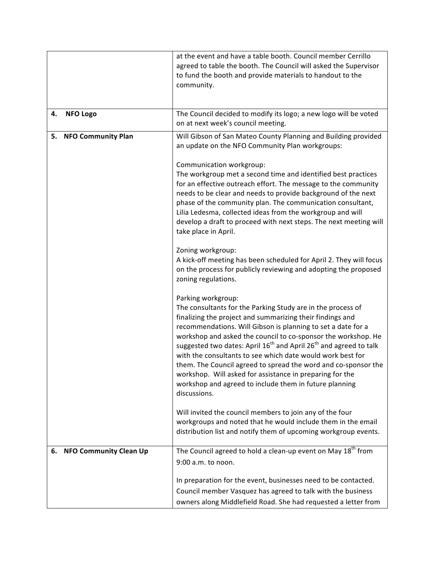|                                     | at the event and have a table booth. Council member Cerrillo<br>agreed to table the booth. The Council will asked the Supervisor<br>to fund the booth and provide materials to handout to the<br>community.                                                                                                                                                                                                                                                                                                                                                                                                                                        |
|-------------------------------------|----------------------------------------------------------------------------------------------------------------------------------------------------------------------------------------------------------------------------------------------------------------------------------------------------------------------------------------------------------------------------------------------------------------------------------------------------------------------------------------------------------------------------------------------------------------------------------------------------------------------------------------------------|
|                                     |                                                                                                                                                                                                                                                                                                                                                                                                                                                                                                                                                                                                                                                    |
| <b>NFO Logo</b><br>4.               | The Council decided to modify its logo; a new logo will be voted<br>on at next week's council meeting.                                                                                                                                                                                                                                                                                                                                                                                                                                                                                                                                             |
| <b>NFO Community Plan</b><br>5.     | Will Gibson of San Mateo County Planning and Building provided<br>an update on the NFO Community Plan workgroups:                                                                                                                                                                                                                                                                                                                                                                                                                                                                                                                                  |
|                                     | Communication workgroup:<br>The workgroup met a second time and identified best practices<br>for an effective outreach effort. The message to the community<br>needs to be clear and needs to provide background of the next<br>phase of the community plan. The communication consultant,<br>Lilia Ledesma, collected ideas from the workgroup and will<br>develop a draft to proceed with next steps. The next meeting will<br>take place in April.                                                                                                                                                                                              |
|                                     | Zoning workgroup:<br>A kick-off meeting has been scheduled for April 2. They will focus<br>on the process for publicly reviewing and adopting the proposed<br>zoning regulations.                                                                                                                                                                                                                                                                                                                                                                                                                                                                  |
|                                     | Parking workgroup:<br>The consultants for the Parking Study are in the process of<br>finalizing the project and summarizing their findings and<br>recommendations. Will Gibson is planning to set a date for a<br>workshop and asked the council to co-sponsor the workshop. He<br>suggested two dates: April 16 <sup>th</sup> and April 26 <sup>th</sup> and agreed to talk<br>with the consultants to see which date would work best for<br>them. The Council agreed to spread the word and co-sponsor the<br>workshop. Will asked for assistance in preparing for the<br>workshop and agreed to include them in future planning<br>discussions. |
|                                     | Will invited the council members to join any of the four<br>workgroups and noted that he would include them in the email<br>distribution list and notify them of upcoming workgroup events.                                                                                                                                                                                                                                                                                                                                                                                                                                                        |
| <b>NFO Community Clean Up</b><br>6. | The Council agreed to hold a clean-up event on May 18 <sup>th</sup> from<br>9:00 a.m. to noon.                                                                                                                                                                                                                                                                                                                                                                                                                                                                                                                                                     |
|                                     | In preparation for the event, businesses need to be contacted.<br>Council member Vasquez has agreed to talk with the business<br>owners along Middlefield Road. She had requested a letter from                                                                                                                                                                                                                                                                                                                                                                                                                                                    |